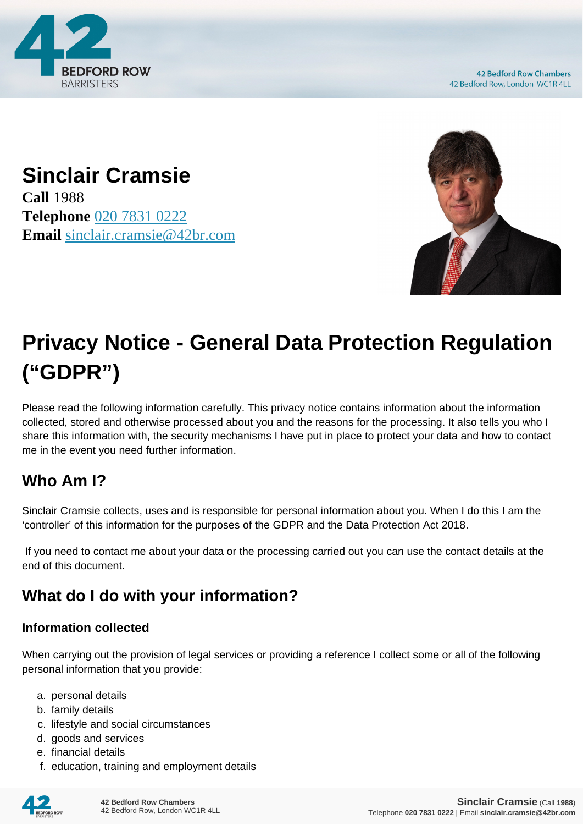

#### **Sinclair Cramsie Call** 1988 **Telephone** [020 7831 0222](https://pdf.codeshore.co/_42br/tel:020 7831 0222) **Email** [sinclair.cramsie@42br.com](mailto:sinclair.cramsie@42br.com)



# **Privacy Notice - General Data Protection Regulation ("GDPR")**

Please read the following information carefully. This privacy notice contains information about the information collected, stored and otherwise processed about you and the reasons for the processing. It also tells you who I share this information with, the security mechanisms I have put in place to protect your data and how to contact me in the event you need further information.

# **Who Am I?**

Sinclair Cramsie collects, uses and is responsible for personal information about you. When I do this I am the 'controller' of this information for the purposes of the GDPR and the Data Protection Act 2018.

 If you need to contact me about your data or the processing carried out you can use the contact details at the end of this document.

# **What do I do with your information?**

#### **Information collected**

When carrying out the provision of legal services or providing a reference I collect some or all of the following personal information that you provide:

- a. personal details
- b. family details
- c. lifestyle and social circumstances
- d. goods and services
- e. financial details
- f. education, training and employment details

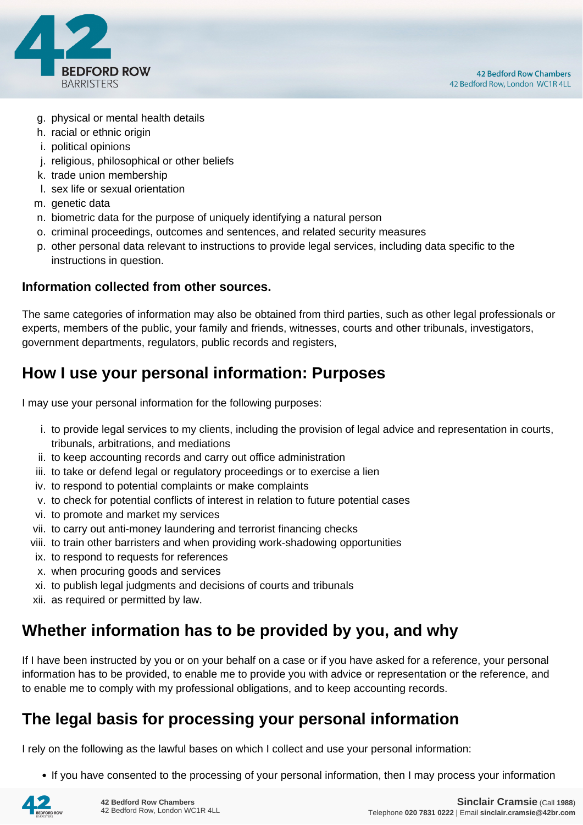

- g. physical or mental health details
- h. racial or ethnic origin
- i. political opinions
- j. religious, philosophical or other beliefs
- k. trade union membership
- l. sex life or sexual orientation
- m. genetic data
- n. biometric data for the purpose of uniquely identifying a natural person
- o. criminal proceedings, outcomes and sentences, and related security measures
- p. other personal data relevant to instructions to provide legal services, including data specific to the instructions in question.

#### **Information collected from other sources.**

The same categories of information may also be obtained from third parties, such as other legal professionals or experts, members of the public, your family and friends, witnesses, courts and other tribunals, investigators, government departments, regulators, public records and registers,

#### **How I use your personal information: Purposes**

I may use your personal information for the following purposes:

- i. to provide legal services to my clients, including the provision of legal advice and representation in courts, tribunals, arbitrations, and mediations
- ii. to keep accounting records and carry out office administration
- iii. to take or defend legal or regulatory proceedings or to exercise a lien
- iv. to respond to potential complaints or make complaints
- v. to check for potential conflicts of interest in relation to future potential cases
- vi. to promote and market my services
- vii. to carry out anti-money laundering and terrorist financing checks
- viii. to train other barristers and when providing work-shadowing opportunities
- ix. to respond to requests for references
- x. when procuring goods and services
- xi. to publish legal judgments and decisions of courts and tribunals
- xii. as required or permitted by law.

#### **Whether information has to be provided by you, and why**

If I have been instructed by you or on your behalf on a case or if you have asked for a reference, your personal information has to be provided, to enable me to provide you with advice or representation or the reference, and to enable me to comply with my professional obligations, and to keep accounting records.

#### **The legal basis for processing your personal information**

I rely on the following as the lawful bases on which I collect and use your personal information:

• If you have consented to the processing of your personal information, then I may process your information

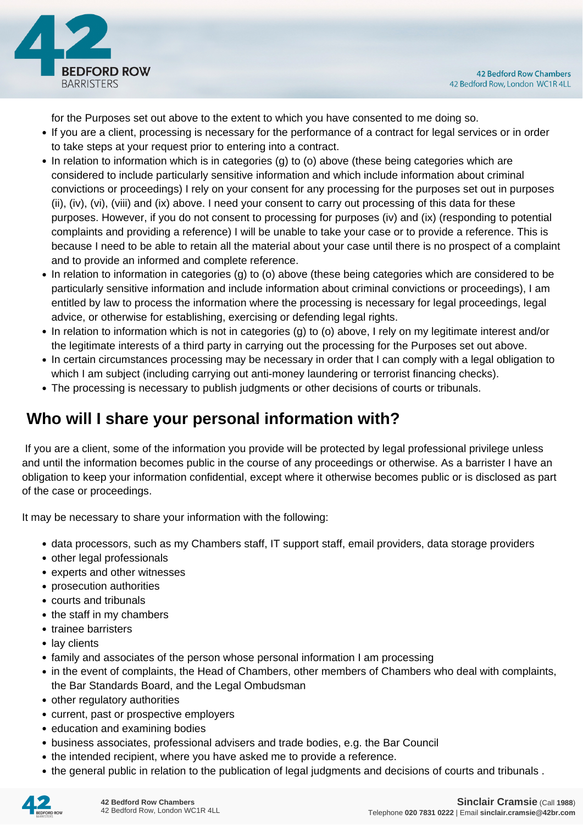

for the Purposes set out above to the extent to which you have consented to me doing so.

- If you are a client, processing is necessary for the performance of a contract for legal services or in order to take steps at your request prior to entering into a contract.
- In relation to information which is in categories (g) to (o) above (these being categories which are considered to include particularly sensitive information and which include information about criminal convictions or proceedings) I rely on your consent for any processing for the purposes set out in purposes (ii), (iv), (vi), (viii) and (ix) above. I need your consent to carry out processing of this data for these purposes. However, if you do not consent to processing for purposes (iv) and (ix) (responding to potential complaints and providing a reference) I will be unable to take your case or to provide a reference. This is because I need to be able to retain all the material about your case until there is no prospect of a complaint and to provide an informed and complete reference.
- In relation to information in categories (g) to (o) above (these being categories which are considered to be particularly sensitive information and include information about criminal convictions or proceedings), I am entitled by law to process the information where the processing is necessary for legal proceedings, legal advice, or otherwise for establishing, exercising or defending legal rights.
- In relation to information which is not in categories (g) to (o) above, I rely on my legitimate interest and/or the legitimate interests of a third party in carrying out the processing for the Purposes set out above.
- In certain circumstances processing may be necessary in order that I can comply with a legal obligation to which I am subject (including carrying out anti-money laundering or terrorist financing checks).
- The processing is necessary to publish judgments or other decisions of courts or tribunals.

## **Who will I share your personal information with?**

 If you are a client, some of the information you provide will be protected by legal professional privilege unless and until the information becomes public in the course of any proceedings or otherwise. As a barrister I have an obligation to keep your information confidential, except where it otherwise becomes public or is disclosed as part of the case or proceedings.

It may be necessary to share your information with the following:

- data processors, such as my Chambers staff, IT support staff, email providers, data storage providers
- other legal professionals
- experts and other witnesses
- prosecution authorities
- courts and tribunals
- the staff in my chambers
- trainee barristers
- lay clients
- family and associates of the person whose personal information I am processing
- in the event of complaints, the Head of Chambers, other members of Chambers who deal with complaints, the Bar Standards Board, and the Legal Ombudsman
- other regulatory authorities
- current, past or prospective employers
- education and examining bodies
- business associates, professional advisers and trade bodies, e.g. the Bar Council
- the intended recipient, where you have asked me to provide a reference.
- the general public in relation to the publication of legal judgments and decisions of courts and tribunals .

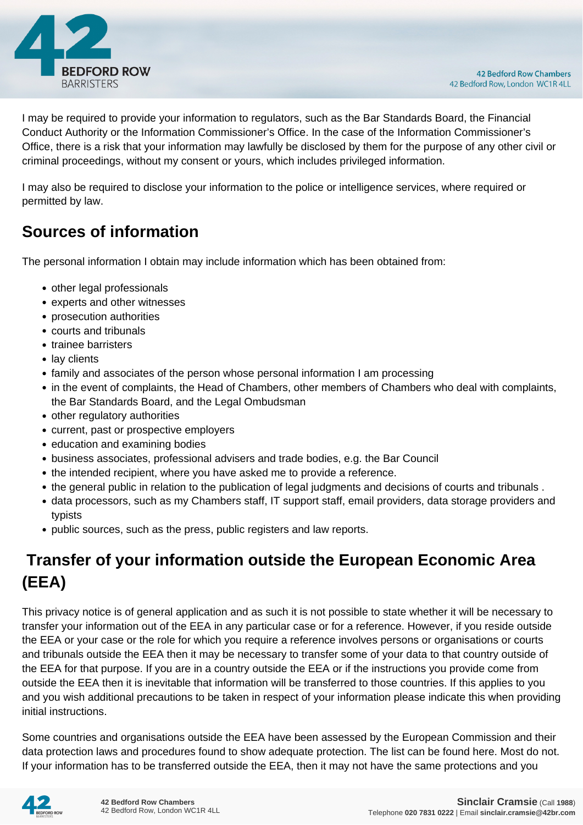

I may be required to provide your information to regulators, such as the Bar Standards Board, the Financial Conduct Authority or the Information Commissioner's Office. In the case of the Information Commissioner's Office, there is a risk that your information may lawfully be disclosed by them for the purpose of any other civil or criminal proceedings, without my consent or yours, which includes privileged information.

I may also be required to disclose your information to the police or intelligence services, where required or permitted by law.

#### **Sources of information**

The personal information I obtain may include information which has been obtained from:

- other legal professionals
- experts and other witnesses
- prosecution authorities
- courts and tribunals
- trainee barristers
- lay clients
- family and associates of the person whose personal information I am processing
- in the event of complaints, the Head of Chambers, other members of Chambers who deal with complaints, the Bar Standards Board, and the Legal Ombudsman
- other regulatory authorities
- current, past or prospective employers
- education and examining bodies
- business associates, professional advisers and trade bodies, e.g. the Bar Council
- the intended recipient, where you have asked me to provide a reference.
- the general public in relation to the publication of legal judgments and decisions of courts and tribunals .
- data processors, such as my Chambers staff, IT support staff, email providers, data storage providers and typists
- public sources, such as the press, public registers and law reports.

# **Transfer of your information outside the European Economic Area (EEA)**

This privacy notice is of general application and as such it is not possible to state whether it will be necessary to transfer your information out of the EEA in any particular case or for a reference. However, if you reside outside the EEA or your case or the role for which you require a reference involves persons or organisations or courts and tribunals outside the EEA then it may be necessary to transfer some of your data to that country outside of the EEA for that purpose. If you are in a country outside the EEA or if the instructions you provide come from outside the EEA then it is inevitable that information will be transferred to those countries. If this applies to you and you wish additional precautions to be taken in respect of your information please indicate this when providing initial instructions.

Some countries and organisations outside the EEA have been assessed by the European Commission and their data protection laws and procedures found to show adequate protection. The list can be found here. Most do not. If your information has to be transferred outside the EEA, then it may not have the same protections and you

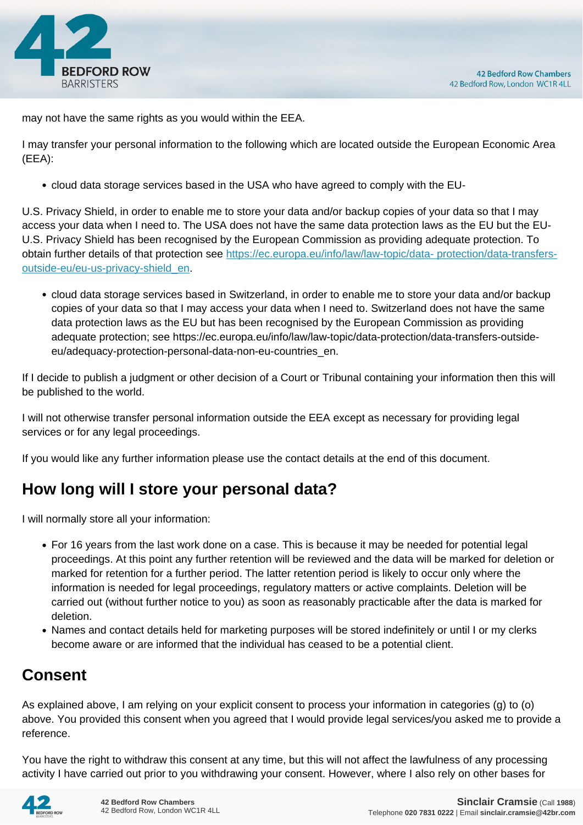

may not have the same rights as you would within the EEA.

I may transfer your personal information to the following which are located outside the European Economic Area (EEA):

cloud data storage services based in the USA who have agreed to comply with the EU-

U.S. Privacy Shield, in order to enable me to store your data and/or backup copies of your data so that I may access your data when I need to. The USA does not have the same data protection laws as the EU but the EU-U.S. Privacy Shield has been recognised by the European Commission as providing adequate protection. To obtain further details of that protection see [https://ec.europa.eu/info/law/law-topic/data- protection/data-transfers](https://ec.europa.eu/info/law/law-topic/data- protection/data-transfers-outside-eu/eu-us-privacy-shield_en)[outside-eu/eu-us-privacy-shield\\_en.](https://ec.europa.eu/info/law/law-topic/data- protection/data-transfers-outside-eu/eu-us-privacy-shield_en)

cloud data storage services based in Switzerland, in order to enable me to store your data and/or backup copies of your data so that I may access your data when I need to. Switzerland does not have the same data protection laws as the EU but has been recognised by the European Commission as providing adequate protection; see https://ec.europa.eu/info/law/law-topic/data-protection/data-transfers-outsideeu/adequacy-protection-personal-data-non-eu-countries\_en.

If I decide to publish a judgment or other decision of a Court or Tribunal containing your information then this will be published to the world.

I will not otherwise transfer personal information outside the EEA except as necessary for providing legal services or for any legal proceedings.

If you would like any further information please use the contact details at the end of this document.

## **How long will I store your personal data?**

I will normally store all your information:

- For 16 years from the last work done on a case. This is because it may be needed for potential legal proceedings. At this point any further retention will be reviewed and the data will be marked for deletion or marked for retention for a further period. The latter retention period is likely to occur only where the information is needed for legal proceedings, regulatory matters or active complaints. Deletion will be carried out (without further notice to you) as soon as reasonably practicable after the data is marked for deletion.
- Names and contact details held for marketing purposes will be stored indefinitely or until I or my clerks become aware or are informed that the individual has ceased to be a potential client.

## **Consent**

As explained above, I am relying on your explicit consent to process your information in categories (g) to (o) above. You provided this consent when you agreed that I would provide legal services/you asked me to provide a reference.

You have the right to withdraw this consent at any time, but this will not affect the lawfulness of any processing activity I have carried out prior to you withdrawing your consent. However, where I also rely on other bases for

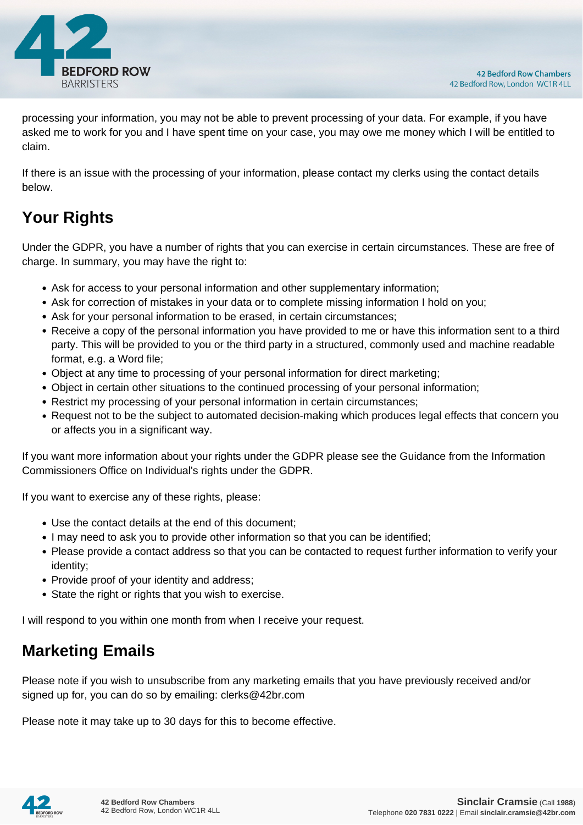

processing your information, you may not be able to prevent processing of your data. For example, if you have asked me to work for you and I have spent time on your case, you may owe me money which I will be entitled to claim.

If there is an issue with the processing of your information, please contact my clerks using the contact details below.

# **Your Rights**

Under the GDPR, you have a number of rights that you can exercise in certain circumstances. These are free of charge. In summary, you may have the right to:

- Ask for access to your personal information and other supplementary information;
- Ask for correction of mistakes in your data or to complete missing information I hold on you;
- Ask for your personal information to be erased, in certain circumstances;
- Receive a copy of the personal information you have provided to me or have this information sent to a third party. This will be provided to you or the third party in a structured, commonly used and machine readable format, e.g. a Word file;
- Object at any time to processing of your personal information for direct marketing;
- Object in certain other situations to the continued processing of your personal information;
- Restrict my processing of your personal information in certain circumstances;
- Request not to be the subject to automated decision-making which produces legal effects that concern you or affects you in a significant way.

If you want more information about your rights under the GDPR please see the Guidance from the Information Commissioners Office on Individual's rights under the GDPR.

If you want to exercise any of these rights, please:

- Use the contact details at the end of this document;
- I may need to ask you to provide other information so that you can be identified;
- Please provide a contact address so that you can be contacted to request further information to verify your identity;
- Provide proof of your identity and address;
- State the right or rights that you wish to exercise.

I will respond to you within one month from when I receive your request.

#### **Marketing Emails**

Please note if you wish to unsubscribe from any marketing emails that you have previously received and/or signed up for, you can do so by emailing: clerks@42br.com

Please note it may take up to 30 days for this to become effective.